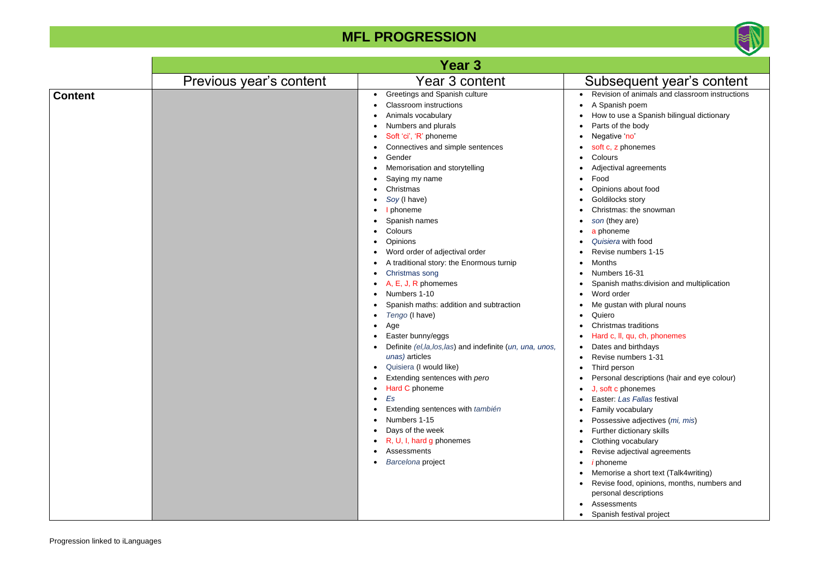

# equent year's content

In of animals and classroom instructions ish poem  $\theta$  use a Spanish bilingual dictionary f the body e 'no' phonemes

val agreements

#### **MFL PROGRESSION**

าs about food cks story has: the snowman ey are) eme • *Quisiera* with food

numbers 1-15

 $\text{rs}$  16-31 h maths:division and multiplication rder tan with plural nouns

has traditions II, qu, ch, phonemes and birthdays numbers 1-31 erson al descriptions (hair and eye colour) **phonemes Las Fallas festival** vocabulary ssive adjectives (mi, mis) · dictionary skills g vocabulary adjectival agreements • *i* phoneme ise a short text (Talk4writing) food, opinions, months, numbers and al descriptions ments h festival project

|                |                         | <b>Year 3</b>                                                                                                                                                                                                                                                                                                                                                                                                                                                                                                                                                                                                                                                                                                                                                                                                                                                                                                                           |                                                                                                                                                                                                                                                                                                                                                                                                                                                                                                                       |
|----------------|-------------------------|-----------------------------------------------------------------------------------------------------------------------------------------------------------------------------------------------------------------------------------------------------------------------------------------------------------------------------------------------------------------------------------------------------------------------------------------------------------------------------------------------------------------------------------------------------------------------------------------------------------------------------------------------------------------------------------------------------------------------------------------------------------------------------------------------------------------------------------------------------------------------------------------------------------------------------------------|-----------------------------------------------------------------------------------------------------------------------------------------------------------------------------------------------------------------------------------------------------------------------------------------------------------------------------------------------------------------------------------------------------------------------------------------------------------------------------------------------------------------------|
|                | Previous year's content | Year 3 content                                                                                                                                                                                                                                                                                                                                                                                                                                                                                                                                                                                                                                                                                                                                                                                                                                                                                                                          | <b>Subs</b>                                                                                                                                                                                                                                                                                                                                                                                                                                                                                                           |
| <b>Content</b> |                         | Greetings and Spanish culture<br>$\bullet$<br><b>Classroom</b> instructions<br>Animals vocabulary<br>Numbers and plurals<br>Soft 'ci', 'R' phoneme<br>Connectives and simple sentences<br>Gender<br>٠<br>Memorisation and storytelling<br>Saying my name<br>٠<br>Christmas<br>Soy (I have)<br>٠<br>phoneme<br>Spanish names<br>Colours<br>$\bullet$<br>Opinions<br>Word order of adjectival order<br>A traditional story: the Enormous turnip<br>Christmas song<br>٠<br>A, E, J, R phomemes<br>Numbers 1-10<br>$\bullet$<br>Spanish maths: addition and subtraction<br>Tengo (I have)<br>Age<br>Easter bunny/eggs<br>Definite (el, la, los, las) and indefinite (un, una, unos,<br>unas) articles<br>Quisiera (I would like)<br>٠<br>Extending sentences with pero<br>Hard C phoneme<br>Es<br>٠<br>Extending sentences with también<br>Numbers 1-15<br>Days of the week<br>R, U, I, hard g phonemes<br>Assessments<br>Barcelona project | Revisio<br>A Span<br>How to<br>Parts of<br>Negativ<br>soft c, z<br>Colours<br>Adjectiv<br>Food<br>Opinion<br>Goldiloo<br>Christm<br>son (the<br>a phone<br>Quisiera<br>Revise<br><b>Months</b><br>Number<br>Spanish<br>Word of<br>Me gust<br>Quiero<br>Christm<br>Hard c,<br>Dates a<br>Revise<br>$\bullet$<br>Third pe<br>٠<br>Persona<br>J, soft o<br>Easter:<br><b>Family</b><br>Posses:<br>Further<br>Clothing<br>Revise<br><i>i</i> phone<br>Memori<br>Revise <sup>®</sup><br>persona<br>Assessi<br>٠<br>Spanish |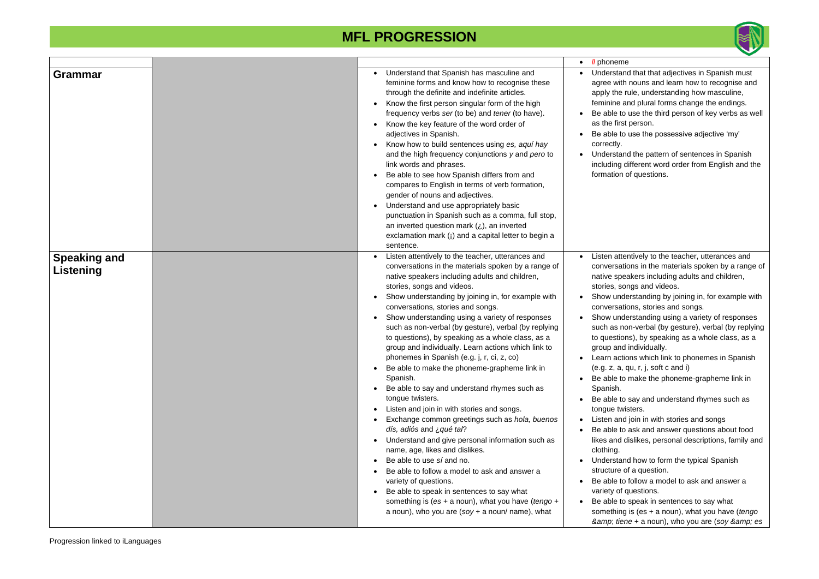

#### • *ll* phoneme

and that that adjectives in Spanish must ith nouns and learn how to recognise and e rule, understanding how masculine, and plural forms change the endings.

to use the third person of key verbs as well rst person.

to use the possessive adjective 'my'

and the pattern of sentences in Spanish different word order from English and the n of questions.

ttentively to the teacher, utterances and ations in the materials spoken by a range of peakers including adults and children, songs and videos.

derstanding by joining in, for example with ations, stories and songs.

derstanding using a variety of responses non-verbal (by gesture), verbal (by replying ions), by speaking as a whole class, as a nd individually.

ctions which link to phonemes in Spanish  $(a, qu, r, j, soft c and i)$ 

to make the phoneme-grapheme link in

to say and understand rhymes such as wisters.

nd join in with stories and songs

to ask and answer questions about food dislikes, personal descriptions, family and

and how to form the typical Spanish of a question.

to follow a model to ask and answer a of questions.

|                                  |                                                                                                                                                                                                                                                                                                                                                                                                                                                                                                                                                                                                                                                                                                                                                                                                                                                                                                                                                                                                                                                                                                                                                                                                                                                                       | <i>II</i> phonen<br>$\bullet$                                                                                                                                                                                                                                                                                                                     |
|----------------------------------|-----------------------------------------------------------------------------------------------------------------------------------------------------------------------------------------------------------------------------------------------------------------------------------------------------------------------------------------------------------------------------------------------------------------------------------------------------------------------------------------------------------------------------------------------------------------------------------------------------------------------------------------------------------------------------------------------------------------------------------------------------------------------------------------------------------------------------------------------------------------------------------------------------------------------------------------------------------------------------------------------------------------------------------------------------------------------------------------------------------------------------------------------------------------------------------------------------------------------------------------------------------------------|---------------------------------------------------------------------------------------------------------------------------------------------------------------------------------------------------------------------------------------------------------------------------------------------------------------------------------------------------|
| Grammar                          | Understand that Spanish has masculine and<br>$\bullet$<br>feminine forms and know how to recognise these<br>through the definite and indefinite articles.<br>Know the first person singular form of the high<br>$\bullet$<br>frequency verbs ser (to be) and tener (to have).<br>Know the key feature of the word order of<br>$\bullet$<br>adjectives in Spanish.<br>Know how to build sentences using es, aquí hay<br>and the high frequency conjunctions y and pero to<br>link words and phrases.<br>Be able to see how Spanish differs from and<br>$\bullet$<br>compares to English in terms of verb formation,<br>gender of nouns and adjectives.<br>Understand and use appropriately basic<br>$\bullet$<br>punctuation in Spanish such as a comma, full stop,<br>an inverted question mark $(i)$ , an inverted<br>exclamation mark (i) and a capital letter to begin a<br>sentence.                                                                                                                                                                                                                                                                                                                                                                              | Understa<br>agree wit<br>apply the<br>feminine<br>Be able t<br>as the firs<br>Be able t<br>correctly.<br>Understa<br>including<br>formation                                                                                                                                                                                                       |
| <b>Speaking and</b><br>Listening | Listen attentively to the teacher, utterances and<br>conversations in the materials spoken by a range of<br>native speakers including adults and children,<br>stories, songs and videos.<br>Show understanding by joining in, for example with<br>$\bullet$<br>conversations, stories and songs.<br>Show understanding using a variety of responses<br>$\bullet$<br>such as non-verbal (by gesture), verbal (by replying<br>to questions), by speaking as a whole class, as a<br>group and individually. Learn actions which link to<br>phonemes in Spanish (e.g. j, r, ci, z, co)<br>Be able to make the phoneme-grapheme link in<br>Spanish.<br>Be able to say and understand rhymes such as<br>$\bullet$<br>tongue twisters.<br>Listen and join in with stories and songs.<br>$\bullet$<br>Exchange common greetings such as hola, buenos<br>dís, adiós and ¿ qué tal?<br>Understand and give personal information such as<br>$\bullet$<br>name, age, likes and dislikes.<br>Be able to use sí and no.<br>$\bullet$<br>Be able to follow a model to ask and answer a<br>variety of questions.<br>Be able to speak in sentences to say what<br>$\bullet$<br>something is (es + a noun), what you have (tengo +<br>a noun), who you are $(soy + a$ noun/ name), what | Listen att<br>conversa<br>native sp<br>stories, s<br>Show un<br>conversa<br>Show un<br>such as r<br>to questio<br>group an<br>Learn ac<br>(e.g. z, a<br>Be able t<br>Spanish.<br>Be able t<br>tongue tv<br>Listen an<br>Be able t<br>likes and<br>clothing.<br>Understa<br>structure<br>Be able t<br>variety of<br>Be able t<br>somethin<br>& tie |

to speak in sentences to say what ng is (es + a noun), what you have (*tengo &amp*; *tiene* + a noun), who you are (*soy & es*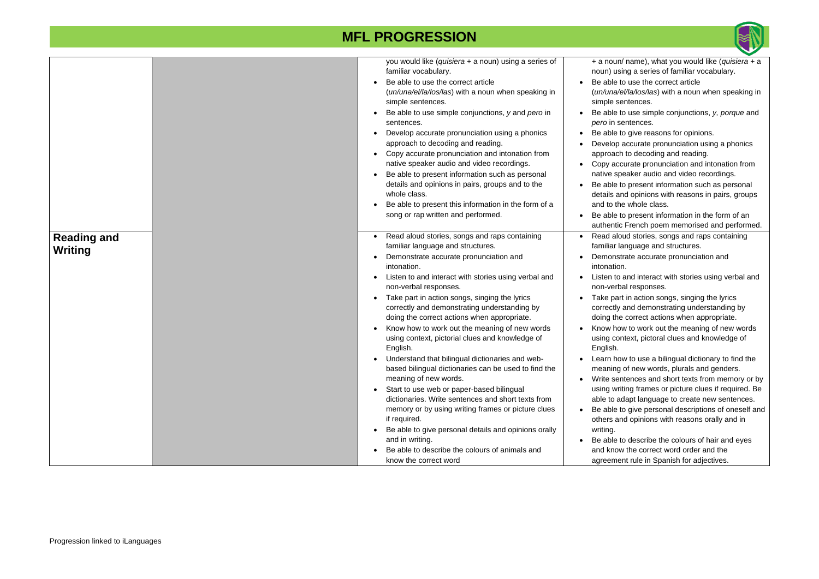

|                               | you would like (quisiera + a noun) using a series of<br>familiar vocabulary.<br>Be able to use the correct article<br>(un/una/el/la/los/las) with a noun when speaking in<br>simple sentences.<br>Be able to use simple conjunctions, y and pero in<br>sentences.<br>Develop accurate pronunciation using a phonics<br>approach to decoding and reading.<br>Copy accurate pronunciation and intonation from<br>native speaker audio and video recordings.<br>Be able to present information such as personal<br>details and opinions in pairs, groups and to the<br>whole class.<br>Be able to present this information in the form of a<br>song or rap written and performed.                                                                                                                                                                                                                                                                                  | + a noun/ name), what you would like (quisiera + a<br>noun) using a series of familiar vocabulary.<br>Be able to use the correct article<br>(un/una/el/la/los/las) with a noun when speaking in<br>simple sentences.<br>Be able to use simple conjunctions, y, porque and<br><i>pero</i> in sentences.<br>Be able to give reasons for opinions.<br>Develop accurate pronunciation using a phonics<br>approach to decoding and reading.<br>Copy accurate pronunciation and intonation from<br>native speaker audio and video recordings.<br>Be able to present information such as personal<br>details and opinions with reasons in pairs, groups<br>and to the whole class.<br>Be able to present information in the form of an<br>authentic French poem memorised and performed.                                                                                                                                                                                                                                                                |
|-------------------------------|-----------------------------------------------------------------------------------------------------------------------------------------------------------------------------------------------------------------------------------------------------------------------------------------------------------------------------------------------------------------------------------------------------------------------------------------------------------------------------------------------------------------------------------------------------------------------------------------------------------------------------------------------------------------------------------------------------------------------------------------------------------------------------------------------------------------------------------------------------------------------------------------------------------------------------------------------------------------|--------------------------------------------------------------------------------------------------------------------------------------------------------------------------------------------------------------------------------------------------------------------------------------------------------------------------------------------------------------------------------------------------------------------------------------------------------------------------------------------------------------------------------------------------------------------------------------------------------------------------------------------------------------------------------------------------------------------------------------------------------------------------------------------------------------------------------------------------------------------------------------------------------------------------------------------------------------------------------------------------------------------------------------------------|
| <b>Reading and</b><br>Writing | Read aloud stories, songs and raps containing<br>familiar language and structures.<br>Demonstrate accurate pronunciation and<br>intonation.<br>Listen to and interact with stories using verbal and<br>non-verbal responses.<br>Take part in action songs, singing the lyrics<br>correctly and demonstrating understanding by<br>doing the correct actions when appropriate.<br>Know how to work out the meaning of new words<br>using context, pictorial clues and knowledge of<br>English.<br>Understand that bilingual dictionaries and web-<br>based bilingual dictionaries can be used to find the<br>meaning of new words.<br>Start to use web or paper-based bilingual<br>dictionaries. Write sentences and short texts from<br>memory or by using writing frames or picture clues<br>if required.<br>Be able to give personal details and opinions orally<br>and in writing.<br>Be able to describe the colours of animals and<br>know the correct word | Read aloud stories, songs and raps containing<br>familiar language and structures.<br>Demonstrate accurate pronunciation and<br>intonation.<br>Listen to and interact with stories using verbal and<br>non-verbal responses.<br>Take part in action songs, singing the lyrics<br>correctly and demonstrating understanding by<br>doing the correct actions when appropriate.<br>Know how to work out the meaning of new words<br>using context, pictoral clues and knowledge of<br>English.<br>Learn how to use a bilingual dictionary to find the<br>meaning of new words, plurals and genders.<br>Write sentences and short texts from memory or by<br>using writing frames or picture clues if required. Be<br>able to adapt language to create new sentences.<br>Be able to give personal descriptions of oneself and<br>$\bullet$<br>others and opinions with reasons orally and in<br>writing.<br>Be able to describe the colours of hair and eyes<br>and know the correct word order and the<br>agreement rule in Spanish for adjectives. |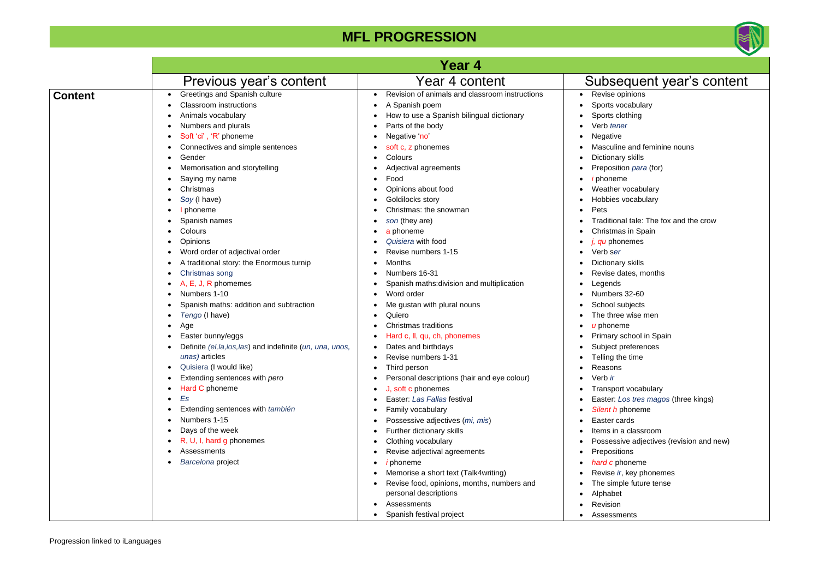

#### vocabulary clothing • Verb *tener* /e ine and feminine nouns ary skills *ition para* (for) • *i* phoneme er vocabulary es vocabulary onal tale: The fox and the crow nas in Spain • *j, qu* phonemes • Verb s*er* ary skills dates, months • Legends  $ers$  32-60 subjects ree wise men eme y school in Spain t preferences the time າຣ ort vocabulary **Los tres magos (three kings)** • *Silent h* phoneme cards n a classroom ssive adjectives (revision and new) itions • *hard c* phoneme *ir*, key phonemes nple future tense  $e$ t • Revision ments

|                |                                                                                                                                                                                                                                                                                                                                                                                                                                                                                                                                                                                                                                                                                                                                                                                                                                                               | Year 4                                                                                                                                                                                                                                                                                                                                                                                                                                                                                                                                                                                                                                                                                                                                                                                                                                                       |                                                                                                                                                                                                                                                                                                                                                                                                                                                                                                                                                                                                                                                                                       |
|----------------|---------------------------------------------------------------------------------------------------------------------------------------------------------------------------------------------------------------------------------------------------------------------------------------------------------------------------------------------------------------------------------------------------------------------------------------------------------------------------------------------------------------------------------------------------------------------------------------------------------------------------------------------------------------------------------------------------------------------------------------------------------------------------------------------------------------------------------------------------------------|--------------------------------------------------------------------------------------------------------------------------------------------------------------------------------------------------------------------------------------------------------------------------------------------------------------------------------------------------------------------------------------------------------------------------------------------------------------------------------------------------------------------------------------------------------------------------------------------------------------------------------------------------------------------------------------------------------------------------------------------------------------------------------------------------------------------------------------------------------------|---------------------------------------------------------------------------------------------------------------------------------------------------------------------------------------------------------------------------------------------------------------------------------------------------------------------------------------------------------------------------------------------------------------------------------------------------------------------------------------------------------------------------------------------------------------------------------------------------------------------------------------------------------------------------------------|
|                | Previous year's content                                                                                                                                                                                                                                                                                                                                                                                                                                                                                                                                                                                                                                                                                                                                                                                                                                       | Year 4 content                                                                                                                                                                                                                                                                                                                                                                                                                                                                                                                                                                                                                                                                                                                                                                                                                                               | Subsequent year's content                                                                                                                                                                                                                                                                                                                                                                                                                                                                                                                                                                                                                                                             |
| <b>Content</b> | Greetings and Spanish culture<br>$\bullet$<br><b>Classroom instructions</b><br>Animals vocabulary<br>$\bullet$<br>Numbers and plurals<br>$\bullet$<br>Soft 'ci', 'R' phoneme<br>Connectives and simple sentences<br>Gender<br>$\bullet$<br>Memorisation and storytelling<br>Saying my name<br>Christmas<br>Soy (I have)<br>phoneme<br>Spanish names<br>Colours<br><b>Opinions</b><br>$\bullet$<br>Word order of adjectival order<br>traditional story: the Enormous turnip<br>Christmas song<br>, E, J, R phomemes<br>Numbers 1-10<br>Spanish maths: addition and subtraction<br>Tengo (I have)<br>Age<br>Easter bunny/eggs<br>Definite (el, la, los, las) and indefinite (un, una, unos,<br>unas) articles<br>Quisiera (I would like)<br>Extending sentences with pero<br>Hard C phoneme<br>$\bullet$<br>Es<br>$\bullet$<br>Extending sentences with también | Revision of animals and classroom instructions<br>A Spanish poem<br>$\bullet$<br>How to use a Spanish bilingual dictionary<br>Parts of the body<br>$\bullet$<br>Negative 'no'<br>soft c, z phonemes<br>$\bullet$<br>Colours<br>$\bullet$<br>Adjectival agreements<br>Food<br>Opinions about food<br>Goldilocks story<br>Christmas: the snowman<br>son (they are)<br>$\bullet$<br>a phoneme<br>Quisiera with food<br>$\bullet$<br>Revise numbers 1-15<br>Months<br>Numbers 16-31<br>Spanish maths: division and multiplication<br>Word order<br>Me gustan with plural nouns<br>Quiero<br><b>Christmas traditions</b><br>Hard c, ll, qu, ch, phonemes<br>$\bullet$<br>Dates and birthdays<br>Revise numbers 1-31<br>Third person<br>$\bullet$<br>Personal descriptions (hair and eye colour)<br>J, soft c phonemes<br>$\bullet$<br>Easter: Las Fallas festival | Revise opinions<br>Sports vocabulary<br>Sports clothing<br>Verb tener<br>$\bullet$<br>Negative<br>Masculine and feminine nouns<br>Dictionary skills<br>Preposition para (for)<br><i>i</i> phoneme<br>Weather vocabulary<br>Hobbies vocabulary<br>Pets<br>Traditional tale: The fox and the crow<br>Christmas in Spain<br>j, qu phonemes<br>$\bullet$<br>Verb ser<br>Dictionary skills<br>Revise dates, months<br>Legends<br>Numbers 32-60<br>School subjects<br>The three wise men<br>u phoneme<br>Primary school in Spain<br>Subject preferences<br>Telling the time<br>Reasons<br>$\bullet$<br>Verb ir<br>$\bullet$<br>Transport vocabulary<br>Easter: Los tres magos (three kings) |
|                |                                                                                                                                                                                                                                                                                                                                                                                                                                                                                                                                                                                                                                                                                                                                                                                                                                                               |                                                                                                                                                                                                                                                                                                                                                                                                                                                                                                                                                                                                                                                                                                                                                                                                                                                              |                                                                                                                                                                                                                                                                                                                                                                                                                                                                                                                                                                                                                                                                                       |
|                | Numbers 1-15<br>Days of the week<br>R, U, I, hard g phonemes<br>Assessments<br>Barcelona project                                                                                                                                                                                                                                                                                                                                                                                                                                                                                                                                                                                                                                                                                                                                                              | Family vocabulary<br>Possessive adjectives (mi, mis)<br>Further dictionary skills<br>Clothing vocabulary<br>Revise adjectival agreements<br>$\bullet$<br><mark>i</mark> phoneme<br>$\bullet$<br>Memorise a short text (Talk4writing)<br>Revise food, opinions, months, numbers and<br>personal descriptions                                                                                                                                                                                                                                                                                                                                                                                                                                                                                                                                                  | Silent h phoneme<br>Easter cards<br>Items in a classroom<br>Possessive adjectives (revision and new)<br>Prepositions<br>$\bullet$<br>hard c phoneme<br>Revise ir, key phonemes<br>The simple future tense<br>Alphabet                                                                                                                                                                                                                                                                                                                                                                                                                                                                 |
|                |                                                                                                                                                                                                                                                                                                                                                                                                                                                                                                                                                                                                                                                                                                                                                                                                                                                               | Assessments<br>$\bullet$<br>Spanish festival project                                                                                                                                                                                                                                                                                                                                                                                                                                                                                                                                                                                                                                                                                                                                                                                                         | Revision<br>Assessments                                                                                                                                                                                                                                                                                                                                                                                                                                                                                                                                                                                                                                                               |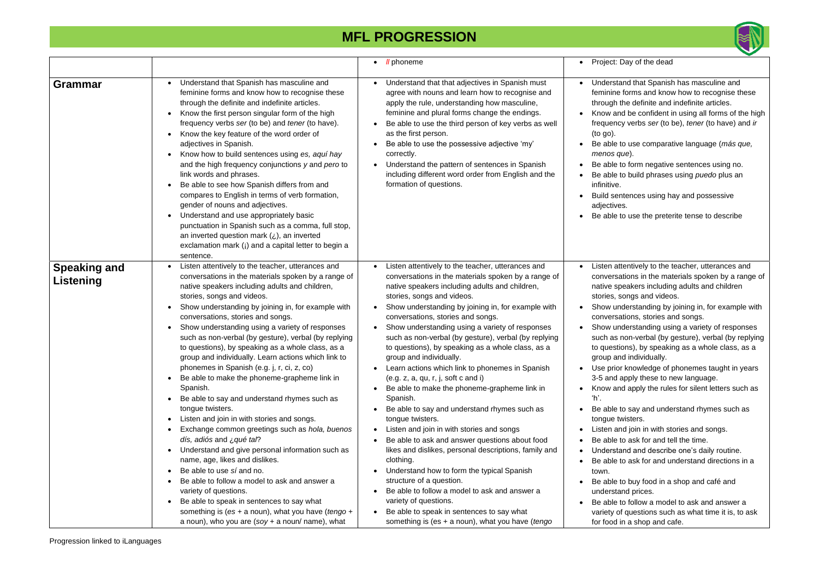

#### Day of the dead

and that Spanish has masculine and forms and know how to recognise these the definite and indefinite articles.

and be confident in using all forms of the high  $f(x)$  verbs *ser* (to be), *tener* (to have) and *ir* 

#### **MFL PROGRESSION**

to use comparative language (más que, *menos que*).

to form negative sentences using no.

to build phrases using *puedo* plus an

ntences using hay and possessive es.

to use the preterite tense to describe

tentively to the teacher, utterances and ations in the materials spoken by a range of eakers including adults and children songs and videos.

derstanding by joining in, for example with ations, stories and songs.

derstanding using a variety of responses non-verbal (by gesture), verbal (by replying ions), by speaking as a whole class, as a nd individually.

r knowledge of phonemes taught in years apply these to new language.

ad apply the rules for silent letters such as

to say and understand rhymes such as wisters.

d join in with stories and songs.

to ask for and tell the time.

and and describe one's daily routine.

to ask for and understand directions in a

to buy food in a shop and café and and prices.

to follow a model to ask and answer a f questions such as what time it is, to ask in a shop and cafe.

|                                  |                                                                                                                                                                                                                                                                                                                                                                                                                                                                                                                                                                                                                                                                                                                                                                                                                                                                                                                                                                                                                                                                                                                                                                            | <i>Il</i> phoneme<br>$\bullet$                                                                                                                                                                                                                                                                                                                                                                                                                                                                                                                                                                                                                                                                                                                                                                                                                                                                                                                                                                                                                                                                                                                                                                                                                            | Project: I<br>$\bullet$                                                                                                                                                                                                                                                                                                                       |
|----------------------------------|----------------------------------------------------------------------------------------------------------------------------------------------------------------------------------------------------------------------------------------------------------------------------------------------------------------------------------------------------------------------------------------------------------------------------------------------------------------------------------------------------------------------------------------------------------------------------------------------------------------------------------------------------------------------------------------------------------------------------------------------------------------------------------------------------------------------------------------------------------------------------------------------------------------------------------------------------------------------------------------------------------------------------------------------------------------------------------------------------------------------------------------------------------------------------|-----------------------------------------------------------------------------------------------------------------------------------------------------------------------------------------------------------------------------------------------------------------------------------------------------------------------------------------------------------------------------------------------------------------------------------------------------------------------------------------------------------------------------------------------------------------------------------------------------------------------------------------------------------------------------------------------------------------------------------------------------------------------------------------------------------------------------------------------------------------------------------------------------------------------------------------------------------------------------------------------------------------------------------------------------------------------------------------------------------------------------------------------------------------------------------------------------------------------------------------------------------|-----------------------------------------------------------------------------------------------------------------------------------------------------------------------------------------------------------------------------------------------------------------------------------------------------------------------------------------------|
| <b>Grammar</b>                   | Understand that Spanish has masculine and<br>feminine forms and know how to recognise these<br>through the definite and indefinite articles.<br>Know the first person singular form of the high<br>frequency verbs ser (to be) and tener (to have).<br>Know the key feature of the word order of<br>adjectives in Spanish.<br>Know how to build sentences using es, aquí hay<br>and the high frequency conjunctions y and pero to<br>link words and phrases.<br>Be able to see how Spanish differs from and<br>compares to English in terms of verb formation,<br>gender of nouns and adjectives.<br>Understand and use appropriately basic<br>punctuation in Spanish such as a comma, full stop,<br>an inverted question mark $(i)$ , an inverted<br>exclamation mark (i) and a capital letter to begin a<br>sentence.                                                                                                                                                                                                                                                                                                                                                    | Understand that that adjectives in Spanish must<br>$\bullet$<br>agree with nouns and learn how to recognise and<br>apply the rule, understanding how masculine,<br>feminine and plural forms change the endings.<br>Be able to use the third person of key verbs as well<br>$\bullet$<br>as the first person.<br>Be able to use the possessive adjective 'my'<br>$\bullet$<br>correctly.<br>Understand the pattern of sentences in Spanish<br>$\bullet$<br>including different word order from English and the<br>formation of questions.                                                                                                                                                                                                                                                                                                                                                                                                                                                                                                                                                                                                                                                                                                                 | Understa<br>$\bullet$<br>feminine<br>through t<br>Know an<br>frequenc<br>$($ to go $).$<br>Be able t<br>menos q<br>Be able t<br>Be able t<br>infinitive.<br><b>Build ser</b><br>adjective<br>Be able t<br>$\bullet$                                                                                                                           |
| <b>Speaking and</b><br>Listening | Listen attentively to the teacher, utterances and<br>conversations in the materials spoken by a range of<br>native speakers including adults and children,<br>stories, songs and videos.<br>Show understanding by joining in, for example with<br>conversations, stories and songs.<br>Show understanding using a variety of responses<br>such as non-verbal (by gesture), verbal (by replying<br>to questions), by speaking as a whole class, as a<br>group and individually. Learn actions which link to<br>phonemes in Spanish (e.g. j, r, ci, z, co)<br>Be able to make the phoneme-grapheme link in<br>Spanish.<br>Be able to say and understand rhymes such as<br>tongue twisters.<br>Listen and join in with stories and songs.<br>Exchange common greetings such as hola, buenos<br>dís, adiós and ¿ qué tal?<br>Understand and give personal information such as<br>name, age, likes and dislikes.<br>Be able to use sí and no.<br>Be able to follow a model to ask and answer a<br>variety of questions.<br>Be able to speak in sentences to say what<br>something is (es + a noun), what you have (tengo +<br>a noun), who you are $(soy + a$ noun/ name), what | Listen attentively to the teacher, utterances and<br>$\bullet$<br>conversations in the materials spoken by a range of<br>native speakers including adults and children,<br>stories, songs and videos.<br>Show understanding by joining in, for example with<br>$\bullet$<br>conversations, stories and songs.<br>Show understanding using a variety of responses<br>$\bullet$<br>such as non-verbal (by gesture), verbal (by replying<br>to questions), by speaking as a whole class, as a<br>group and individually.<br>Learn actions which link to phonemes in Spanish<br>(e.g. z, a, qu, r, j, soft c and i)<br>Be able to make the phoneme-grapheme link in<br>$\bullet$<br>Spanish.<br>Be able to say and understand rhymes such as<br>$\bullet$<br>tongue twisters.<br>Listen and join in with stories and songs<br>$\bullet$<br>Be able to ask and answer questions about food<br>likes and dislikes, personal descriptions, family and<br>clothing.<br>Understand how to form the typical Spanish<br>$\bullet$<br>structure of a question.<br>Be able to follow a model to ask and answer a<br>$\bullet$<br>variety of questions.<br>Be able to speak in sentences to say what<br>$\bullet$<br>something is (es $+$ a noun), what you have (tengo | Listen at<br>conversa<br>native sp<br>stories, s<br>Show un<br>conversa<br>Show un<br>such as r<br>to questio<br>group an<br>Use prior<br>$\bullet$<br>$3-5$ and a<br>Know an<br>ʻh'.<br>Be able t<br>tongue tv<br>Listen an<br>Be able t<br>Understa<br>Be able t<br>town.<br>Be able t<br>understa<br>Be able t<br>variety of<br>for food i |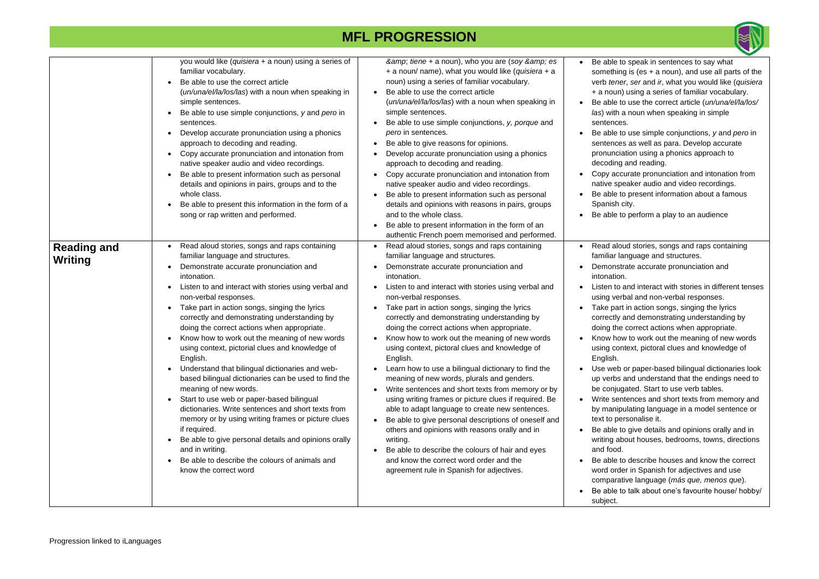

le to speak in sentences to say what hing is (es  $+$  a noun), and use all parts of the *ener*, *ser* and *ir*, what you would like (*quisiera* un) using a series of familiar vocabulary. le to use the correct article (*un/una/el/la/los/* **ith a noun when speaking in simple** ices. le to use simple conjunctions, *y* and *pero* in ices as well as para. Develop accurate nciation using a phonics approach to ing and reading. accurate pronunciation and intonation from speaker audio and video recordings. le to present information about a famous sh city. e to perform a play to an audience aloud stories, songs and raps containing ar language and structures. nstrate accurate pronunciation and tion. to and interact with stories in different tenses verbal and non-verbal responses. bart in action songs, singing the lyrics tly and demonstrating understanding by the correct actions when appropriate. how to work out the meaning of new words context, pictoral clues and knowledge of  $\mathsf{h}.$ eb or paper-based bilingual dictionaries look bs and understand that the endings need to ijugated. Start to use verb tables. sentences and short texts from memory and nipulating language in a model sentence or personalise it. le to give details and opinions orally and in about houses, bedrooms, towns, directions od. le to describe houses and know the correct order in Spanish for adjectives and use arative language (*más que, menos que*). e to talk about one's favourite house/ hobby/

|                                      | you would like (quisiera + a noun) using a series of<br>familiar vocabulary.<br>Be able to use the correct article<br>(un/una/el/la/los/las) with a noun when speaking in<br>simple sentences.<br>Be able to use simple conjunctions, y and pero in<br>sentences.<br>Develop accurate pronunciation using a phonics<br>approach to decoding and reading.<br>Copy accurate pronunciation and intonation from<br>native speaker audio and video recordings.<br>Be able to present information such as personal<br>details and opinions in pairs, groups and to the<br>whole class.<br>Be able to present this information in the form of a<br>song or rap written and performed.                                                                                                                                                                                                                                                                                  | & tiene + a noun), who you are (soy & es<br>+ a noun/ name), what you would like (quisiera + a<br>noun) using a series of familiar vocabulary.<br>Be able to use the correct article<br>(un/una/el/la/los/las) with a noun when speaking in<br>simple sentences.<br>Be able to use simple conjunctions, y, porque and<br>pero in sentences.<br>Be able to give reasons for opinions.<br>Develop accurate pronunciation using a phonics<br>approach to decoding and reading.<br>Copy accurate pronunciation and intonation from<br>native speaker audio and video recordings.<br>Be able to present information such as personal<br>details and opinions with reasons in pairs, groups<br>and to the whole class.<br>Be able to present information in the form of an<br>authentic French poem memorised and performed.                                                                                                                                                                                                              | Be able<br>somethi<br>verb ter<br>+ a nour<br>Be able<br>las) with<br>sentenc<br>Be able<br>sentenc<br>pronunc<br>decodin<br>Copy ac<br>native s<br>Be able<br>Spanish<br>Be able                                                                                                                             |
|--------------------------------------|-----------------------------------------------------------------------------------------------------------------------------------------------------------------------------------------------------------------------------------------------------------------------------------------------------------------------------------------------------------------------------------------------------------------------------------------------------------------------------------------------------------------------------------------------------------------------------------------------------------------------------------------------------------------------------------------------------------------------------------------------------------------------------------------------------------------------------------------------------------------------------------------------------------------------------------------------------------------|-------------------------------------------------------------------------------------------------------------------------------------------------------------------------------------------------------------------------------------------------------------------------------------------------------------------------------------------------------------------------------------------------------------------------------------------------------------------------------------------------------------------------------------------------------------------------------------------------------------------------------------------------------------------------------------------------------------------------------------------------------------------------------------------------------------------------------------------------------------------------------------------------------------------------------------------------------------------------------------------------------------------------------------|---------------------------------------------------------------------------------------------------------------------------------------------------------------------------------------------------------------------------------------------------------------------------------------------------------------|
| <b>Reading and</b><br><b>Writing</b> | Read aloud stories, songs and raps containing<br>familiar language and structures.<br>Demonstrate accurate pronunciation and<br>intonation.<br>Listen to and interact with stories using verbal and<br>non-verbal responses.<br>Take part in action songs, singing the lyrics<br>correctly and demonstrating understanding by<br>doing the correct actions when appropriate.<br>Know how to work out the meaning of new words<br>using context, pictorial clues and knowledge of<br>English.<br>Understand that bilingual dictionaries and web-<br>based bilingual dictionaries can be used to find the<br>meaning of new words.<br>Start to use web or paper-based bilingual<br>dictionaries. Write sentences and short texts from<br>memory or by using writing frames or picture clues<br>if required.<br>Be able to give personal details and opinions orally<br>and in writing.<br>Be able to describe the colours of animals and<br>know the correct word | Read aloud stories, songs and raps containing<br>familiar language and structures.<br>Demonstrate accurate pronunciation and<br>intonation.<br>Listen to and interact with stories using verbal and<br>non-verbal responses.<br>Take part in action songs, singing the lyrics<br>correctly and demonstrating understanding by<br>doing the correct actions when appropriate.<br>Know how to work out the meaning of new words<br>using context, pictoral clues and knowledge of<br>English.<br>Learn how to use a bilingual dictionary to find the<br>meaning of new words, plurals and genders.<br>Write sentences and short texts from memory or by<br>using writing frames or picture clues if required. Be<br>able to adapt language to create new sentences.<br>Be able to give personal descriptions of oneself and<br>others and opinions with reasons orally and in<br>writing.<br>Be able to describe the colours of hair and eyes<br>and know the correct word order and the<br>agreement rule in Spanish for adjectives. | Read al<br>familiar<br>Demons<br>intonatio<br>Listen to<br>using ve<br>Take pa<br>correctly<br>doing th<br>Know ho<br>using co<br>English.<br>Use wel<br>up verbs<br>be conju<br>Write se<br>by mani<br>text to p<br>Be able<br>writing a<br>and foor<br>Be able<br>word or<br>compara<br>Be able<br>subject. |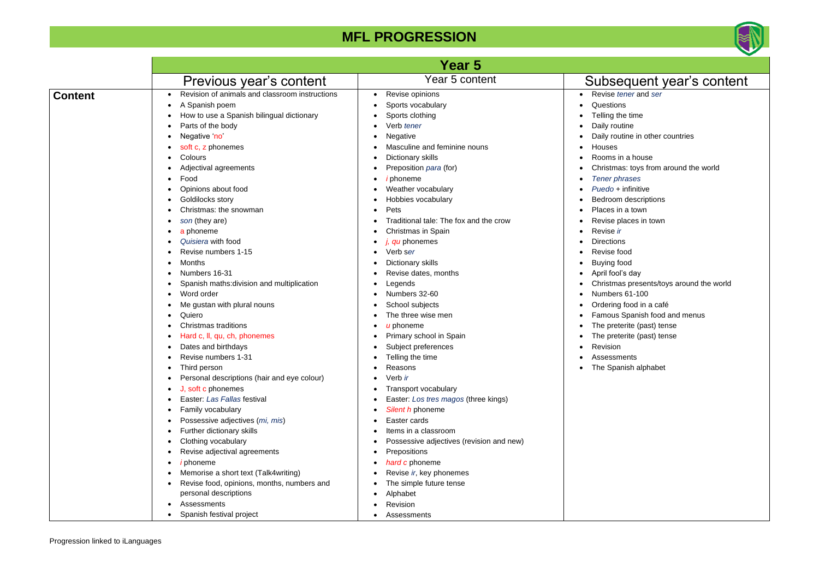

- Revise *tener* and *ser*
	- $ns$
	- he time
	- utine
	- utine in other countries
	- in a house
	- as: toys from around the world
	- *Tener phrases*
	- *F* infinitive
	- m descriptions
	- in a town
	- places in town
	-
	- ns
	- food
	- food
	- ان)'s day
	- as presents/toys around the world
	- $\mathsf{s}$  61-100
	- *food in a café*
	- s Spanish food and menus
	- terite (past) tense
	- terite (past) tense
	-
	- nents
	- anish alphabet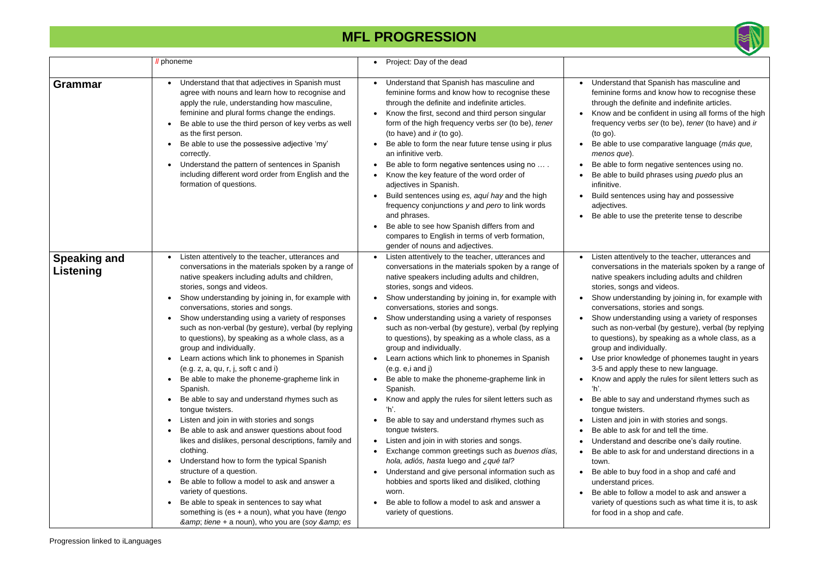

and that Spanish has masculine and forms and know how to recognise these the definite and indefinite articles.

and be confident in using all forms of the high  $f(x)$  verbs *ser* (to be), *tener* (to have) and *ir* 

#### **MFL PROGRESSION**

to use comparative language (*más que, menos que*).

to form negative sentences using no.

to build phrases using *puedo* plus an

ntences using hay and possessive es.

to use the preterite tense to describe

ttentively to the teacher, utterances and ations in the materials spoken by a range of peakers including adults and children songs and videos.

nderstanding by joining in, for example with ations, stories and songs.

nderstanding using a variety of responses non-verbal (by gesture), verbal (by replying tions), by speaking as a whole class, as a nd individually.

r knowledge of phonemes taught in years apply these to new language.

and apply the rules for silent letters such as

to say and understand rhymes such as wisters.

nd join in with stories and songs.

to ask for and tell the time.

and and describe one's daily routine.

to ask for and understand directions in a

to buy food in a shop and café and and prices.

to follow a model to ask and answer a of questions such as what time it is, to ask in a shop and cafe.

|                                  | <i>Il</i> phoneme                                                                                                                                                                                                                                                                                                                                                                                                                                                                                                                                                                                                                                                                                                                                                                                                                                                                                                                                                                                                                                                                                                                                                                | Project: Day of the dead<br>$\bullet$                                                                                                                                                                                                                                                                                                                                                                                                                                                                                                                                                                                                                                                                                                                                                                                                                                                                                                                                                                                                                                                                                                         |                                                                                                                                                                                                                                                                                                                                                          |
|----------------------------------|----------------------------------------------------------------------------------------------------------------------------------------------------------------------------------------------------------------------------------------------------------------------------------------------------------------------------------------------------------------------------------------------------------------------------------------------------------------------------------------------------------------------------------------------------------------------------------------------------------------------------------------------------------------------------------------------------------------------------------------------------------------------------------------------------------------------------------------------------------------------------------------------------------------------------------------------------------------------------------------------------------------------------------------------------------------------------------------------------------------------------------------------------------------------------------|-----------------------------------------------------------------------------------------------------------------------------------------------------------------------------------------------------------------------------------------------------------------------------------------------------------------------------------------------------------------------------------------------------------------------------------------------------------------------------------------------------------------------------------------------------------------------------------------------------------------------------------------------------------------------------------------------------------------------------------------------------------------------------------------------------------------------------------------------------------------------------------------------------------------------------------------------------------------------------------------------------------------------------------------------------------------------------------------------------------------------------------------------|----------------------------------------------------------------------------------------------------------------------------------------------------------------------------------------------------------------------------------------------------------------------------------------------------------------------------------------------------------|
| Grammar                          | Understand that that adjectives in Spanish must<br>agree with nouns and learn how to recognise and<br>apply the rule, understanding how masculine,<br>feminine and plural forms change the endings.<br>Be able to use the third person of key verbs as well<br>as the first person.<br>Be able to use the possessive adjective 'my'<br>correctly.<br>Understand the pattern of sentences in Spanish<br>including different word order from English and the<br>formation of questions.                                                                                                                                                                                                                                                                                                                                                                                                                                                                                                                                                                                                                                                                                            | Understand that Spanish has masculine and<br>feminine forms and know how to recognise these<br>through the definite and indefinite articles.<br>Know the first, second and third person singular<br>form of the high frequency verbs ser (to be), tener<br>(to have) and ir (to go).<br>Be able to form the near future tense using ir plus<br>an infinitive verb.<br>Be able to form negative sentences using no<br>$\bullet$<br>Know the key feature of the word order of<br>$\bullet$<br>adjectives in Spanish.<br>Build sentences using es, aquí hay and the high<br>frequency conjunctions y and pero to link words<br>and phrases.<br>Be able to see how Spanish differs from and<br>compares to English in terms of verb formation,<br>gender of nouns and adjectives.                                                                                                                                                                                                                                                                                                                                                                 | Understa<br>$\bullet$<br>feminine<br>through t<br>Know an<br>frequenc<br>$($ to go $).$<br>Be able t<br>menos q<br>Be able t<br>Be able t<br>infinitive.<br><b>Build ser</b><br>adjective<br>Be able t                                                                                                                                                   |
| <b>Speaking and</b><br>Listening | Listen attentively to the teacher, utterances and<br>conversations in the materials spoken by a range of<br>native speakers including adults and children,<br>stories, songs and videos.<br>Show understanding by joining in, for example with<br>conversations, stories and songs.<br>Show understanding using a variety of responses<br>such as non-verbal (by gesture), verbal (by replying<br>to questions), by speaking as a whole class, as a<br>group and individually.<br>Learn actions which link to phonemes in Spanish<br>(e.g. z, a, qu, r, j, soft c and i)<br>Be able to make the phoneme-grapheme link in<br>Spanish.<br>Be able to say and understand rhymes such as<br>tongue twisters.<br>Listen and join in with stories and songs<br>Be able to ask and answer questions about food<br>likes and dislikes, personal descriptions, family and<br>clothing.<br>Understand how to form the typical Spanish<br>structure of a question.<br>Be able to follow a model to ask and answer a<br>variety of questions.<br>Be able to speak in sentences to say what<br>something is (es $+$ a noun), what you have (tengo<br>& tiene + a noun), who you are (soy & es | Listen attentively to the teacher, utterances and<br>conversations in the materials spoken by a range of<br>native speakers including adults and children,<br>stories, songs and videos.<br>Show understanding by joining in, for example with<br>$\bullet$<br>conversations, stories and songs.<br>Show understanding using a variety of responses<br>such as non-verbal (by gesture), verbal (by replying<br>to questions), by speaking as a whole class, as a<br>group and individually.<br>Learn actions which link to phonemes in Spanish<br>(e.g. e, i and j)<br>Be able to make the phoneme-grapheme link in<br>Spanish.<br>Know and apply the rules for silent letters such as<br>ʻh'.<br>Be able to say and understand rhymes such as<br>tongue twisters.<br>Listen and join in with stories and songs.<br>$\bullet$<br>Exchange common greetings such as buenos días,<br>$\bullet$<br>hola, adiós, hasta luego and ¿qué tal?<br>Understand and give personal information such as<br>$\bullet$<br>hobbies and sports liked and disliked, clothing<br>worn.<br>Be able to follow a model to ask and answer a<br>variety of questions. | Listen at<br>$\bullet$<br>conversa<br>native sp<br>stories, s<br>Show un<br>conversa<br>Show un<br>such as<br>to questi<br>group an<br>Use prior<br>$3-5$ and $3$<br>Know an<br>ʻh'.<br>Be able t<br>$\bullet$<br>tongue ty<br>Listen ar<br>Be able t<br>Understa<br>Be able t<br>town.<br>Be able t<br>understa<br>Be able t<br>variety o<br>for food i |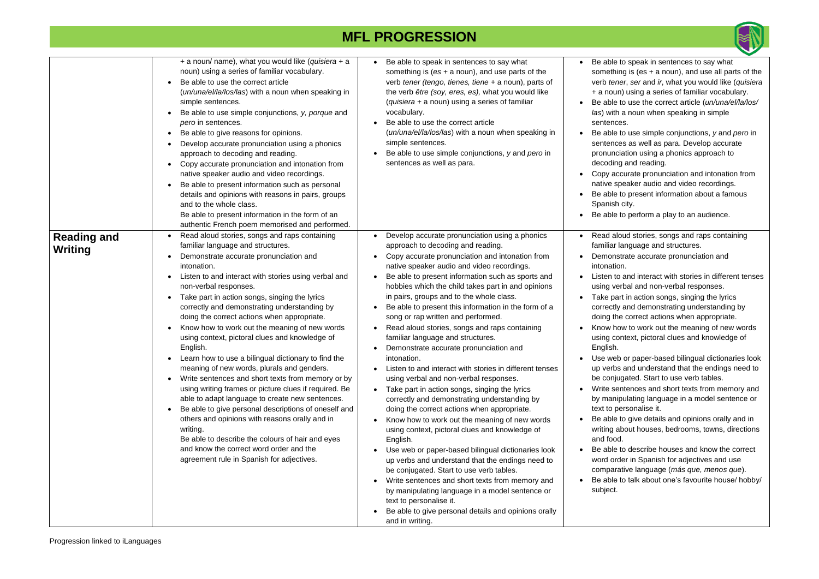

le to speak in sentences to say what hing is (es  $+$  a noun), and use all parts of the *ener*, *ser* and *ir*, what you would like (*quisiera* un) using a series of familiar vocabulary. le to use the correct article (*un/una/el/la/los/* **ith a noun when speaking in simple** ices. le to use simple conjunctions, *y* and *pero* in

ices as well as para. Develop accurate nciation using a phonics approach to ing and reading.

accurate pronunciation and intonation from speaker audio and video recordings.

le to present information about a famous sh city.

le to perform a play to an audience.

aloud stories, songs and raps containing ar language and structures.

nstrate accurate pronunciation and tion.

to and interact with stories in different tenses verbal and non-verbal responses.

bart in action songs, singing the lyrics tly and demonstrating understanding by the correct actions when appropriate.

how to work out the meaning of new words context, pictoral clues and knowledge of

eb or paper-based bilingual dictionaries look bs and understand that the endings need to ijugated. Start to use verb tables.

sentences and short texts from memory and nipulating language in a model sentence or personalise it.

e to give details and opinions orally and in about houses, bedrooms, towns, directions od.

le to describe houses and know the correct order in Spanish for adjectives and use arative language (*más que, menos que*).

le to talk about one's favourite house/ hobby/

|                               | + a noun/ name), what you would like (quisiera + a<br>noun) using a series of familiar vocabulary.<br>Be able to use the correct article<br>(un/una/el/la/los/las) with a noun when speaking in<br>simple sentences.<br>Be able to use simple conjunctions, y, porque and<br>pero in sentences.<br>Be able to give reasons for opinions.<br>$\bullet$<br>Develop accurate pronunciation using a phonics<br>approach to decoding and reading.<br>Copy accurate pronunciation and intonation from<br>native speaker audio and video recordings.<br>Be able to present information such as personal<br>details and opinions with reasons in pairs, groups<br>and to the whole class.<br>Be able to present information in the form of an<br>authentic French poem memorised and performed.                                                                                                                                                                                                                                                          | Be able to speak in sentences to say what<br>something is $(es + a noun)$ , and use parts of the<br>verb tener (tengo, tienes, tiene + a noun), parts of<br>the verb être (soy, eres, es), what you would like<br>(quisiera + a noun) using a series of familiar<br>vocabulary.<br>Be able to use the correct article<br>$\bullet$<br>(un/una/el/la/los/las) with a noun when speaking in<br>simple sentences.<br>Be able to use simple conjunctions, y and pero in<br>$\bullet$<br>sentences as well as para.                                                                                                                                                                                                                                                                                                                                                                                                                                                                                                                                                                                                                                                                                                                                                                                                                                                                                                                                                                | Be able t<br>somethir<br>verb tene<br>$+$ a noun<br>Be able t<br>las) with<br>sentence<br>Be able t<br>sentence<br>pronunci<br>decoding<br>Copy ac<br>native sp<br>Be able t<br>Spanish<br>Be able t                                                                                                                              |
|-------------------------------|--------------------------------------------------------------------------------------------------------------------------------------------------------------------------------------------------------------------------------------------------------------------------------------------------------------------------------------------------------------------------------------------------------------------------------------------------------------------------------------------------------------------------------------------------------------------------------------------------------------------------------------------------------------------------------------------------------------------------------------------------------------------------------------------------------------------------------------------------------------------------------------------------------------------------------------------------------------------------------------------------------------------------------------------------|-------------------------------------------------------------------------------------------------------------------------------------------------------------------------------------------------------------------------------------------------------------------------------------------------------------------------------------------------------------------------------------------------------------------------------------------------------------------------------------------------------------------------------------------------------------------------------------------------------------------------------------------------------------------------------------------------------------------------------------------------------------------------------------------------------------------------------------------------------------------------------------------------------------------------------------------------------------------------------------------------------------------------------------------------------------------------------------------------------------------------------------------------------------------------------------------------------------------------------------------------------------------------------------------------------------------------------------------------------------------------------------------------------------------------------------------------------------------------------|-----------------------------------------------------------------------------------------------------------------------------------------------------------------------------------------------------------------------------------------------------------------------------------------------------------------------------------|
| <b>Reading and</b><br>Writing | Read aloud stories, songs and raps containing<br>familiar language and structures.<br>Demonstrate accurate pronunciation and<br>intonation.<br>Listen to and interact with stories using verbal and<br>non-verbal responses.<br>Take part in action songs, singing the lyrics<br>correctly and demonstrating understanding by<br>doing the correct actions when appropriate.<br>Know how to work out the meaning of new words<br>using context, pictoral clues and knowledge of<br>English.<br>Learn how to use a bilingual dictionary to find the<br>meaning of new words, plurals and genders.<br>Write sentences and short texts from memory or by<br>using writing frames or picture clues if required. Be<br>able to adapt language to create new sentences.<br>Be able to give personal descriptions of oneself and<br>$\bullet$<br>others and opinions with reasons orally and in<br>writing.<br>Be able to describe the colours of hair and eyes<br>and know the correct word order and the<br>agreement rule in Spanish for adjectives. | Develop accurate pronunciation using a phonics<br>$\bullet$<br>approach to decoding and reading.<br>Copy accurate pronunciation and intonation from<br>$\bullet$<br>native speaker audio and video recordings.<br>Be able to present information such as sports and<br>$\bullet$<br>hobbies which the child takes part in and opinions<br>in pairs, groups and to the whole class.<br>Be able to present this information in the form of a<br>$\bullet$<br>song or rap written and performed.<br>Read aloud stories, songs and raps containing<br>$\bullet$<br>familiar language and structures.<br>Demonstrate accurate pronunciation and<br>$\bullet$<br>intonation.<br>Listen to and interact with stories in different tenses<br>using verbal and non-verbal responses.<br>Take part in action songs, singing the lyrics<br>$\bullet$<br>correctly and demonstrating understanding by<br>doing the correct actions when appropriate.<br>Know how to work out the meaning of new words<br>$\bullet$<br>using context, pictoral clues and knowledge of<br>English.<br>Use web or paper-based bilingual dictionaries look<br>$\bullet$<br>up verbs and understand that the endings need to<br>be conjugated. Start to use verb tables.<br>Write sentences and short texts from memory and<br>$\bullet$<br>by manipulating language in a model sentence or<br>text to personalise it.<br>Be able to give personal details and opinions orally<br>$\bullet$<br>and in writing. | Read ald<br>familiar la<br>Demonst<br>intonatio<br>Listen to<br>using ver<br>Take par<br>correctly<br>doing the<br>Know ho<br>using cor<br>English.<br>Use web<br>up verbs<br>be conju<br>Write ser<br>by manip<br>text to pe<br>Be able t<br>writing al<br>and food<br>Be able t<br>word ord<br>compara<br>Be able t<br>subject. |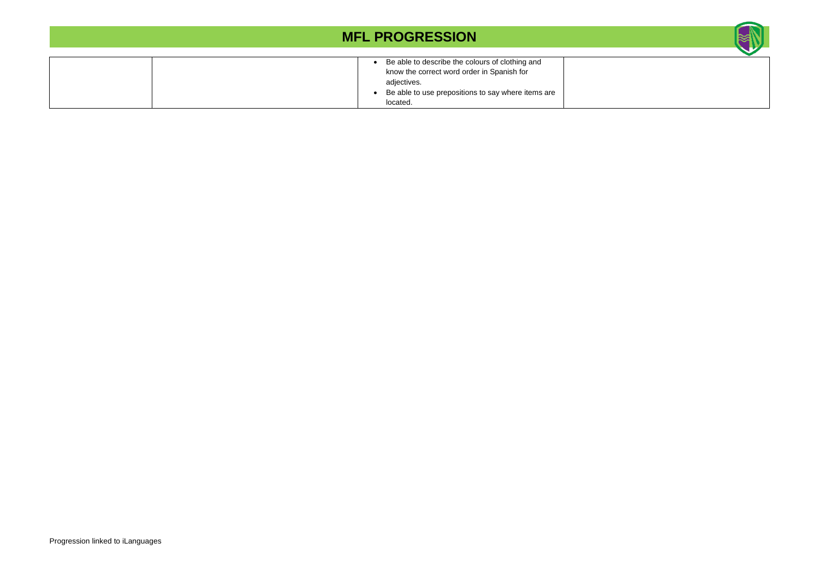

| Be able to describe the colours of clothing and<br>$\bullet$<br>know the correct word order in Spanish for<br>adjectives. |
|---------------------------------------------------------------------------------------------------------------------------|
| Be able to use prepositions to say where items are<br>located.                                                            |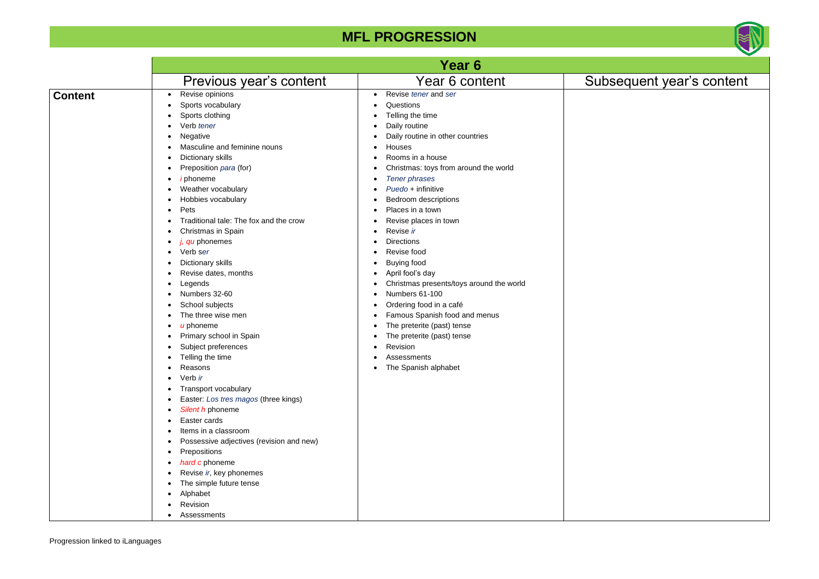

## equent year's content

|                |                                                                                                                                                                                                                                                                                                                                                                                                                                                                                                                                                                                                                                                                                                                                                                                                                                                                                   | Year 6                                                                                                                                                                                                                                                                                                                                                                                                                                                                                                                                                                                                                                                        |              |
|----------------|-----------------------------------------------------------------------------------------------------------------------------------------------------------------------------------------------------------------------------------------------------------------------------------------------------------------------------------------------------------------------------------------------------------------------------------------------------------------------------------------------------------------------------------------------------------------------------------------------------------------------------------------------------------------------------------------------------------------------------------------------------------------------------------------------------------------------------------------------------------------------------------|---------------------------------------------------------------------------------------------------------------------------------------------------------------------------------------------------------------------------------------------------------------------------------------------------------------------------------------------------------------------------------------------------------------------------------------------------------------------------------------------------------------------------------------------------------------------------------------------------------------------------------------------------------------|--------------|
|                | Previous year's content                                                                                                                                                                                                                                                                                                                                                                                                                                                                                                                                                                                                                                                                                                                                                                                                                                                           | Year 6 content                                                                                                                                                                                                                                                                                                                                                                                                                                                                                                                                                                                                                                                | <b>Subse</b> |
| <b>Content</b> | Revise opinions<br>Sports vocabulary<br>Sports clothing<br>Verb tener<br>Negative<br>Masculine and feminine nouns<br>Dictionary skills<br>Preposition para (for)<br><i>i</i> phoneme<br>Weather vocabulary<br>Hobbies vocabulary<br>Pets<br>٠<br>Traditional tale: The fox and the crow<br>Christmas in Spain<br>$i, qu$ phonemes<br>Verb ser<br>Dictionary skills<br>Revise dates, months<br>Legends<br>Numbers 32-60<br>School subjects<br>The three wise men<br>$u$ phoneme<br>Primary school in Spain<br>Subject preferences<br>Telling the time<br>Reasons<br>Verb ir<br>Transport vocabulary<br>Easter: Los tres magos (three kings)<br>Silent h phoneme<br>Easter cards<br>Items in a classroom<br>Possessive adjectives (revision and new)<br>Prepositions<br>hard c phoneme<br>Revise ir, key phonemes<br>The simple future tense<br>Alphabet<br>Revision<br>Assessments | Revise tener and ser<br>$\bullet$<br>Questions<br>Telling the time<br>Daily routine<br>Daily routine in other countries<br>Houses<br>Rooms in a house<br>Christmas: toys from around the world<br>Tener phrases<br>Puedo + infinitive<br>Bedroom descriptions<br>Places in a town<br>٠<br>Revise places in town<br>Revise ir<br><b>Directions</b><br>Revise food<br><b>Buying food</b><br>April fool's day<br>Christmas presents/toys around the world<br>Numbers 61-100<br>Ordering food in a café<br>c<br>Famous Spanish food and menus<br>The preterite (past) tense<br>٠<br>The preterite (past) tense<br>Revision<br>Assessments<br>The Spanish alphabet |              |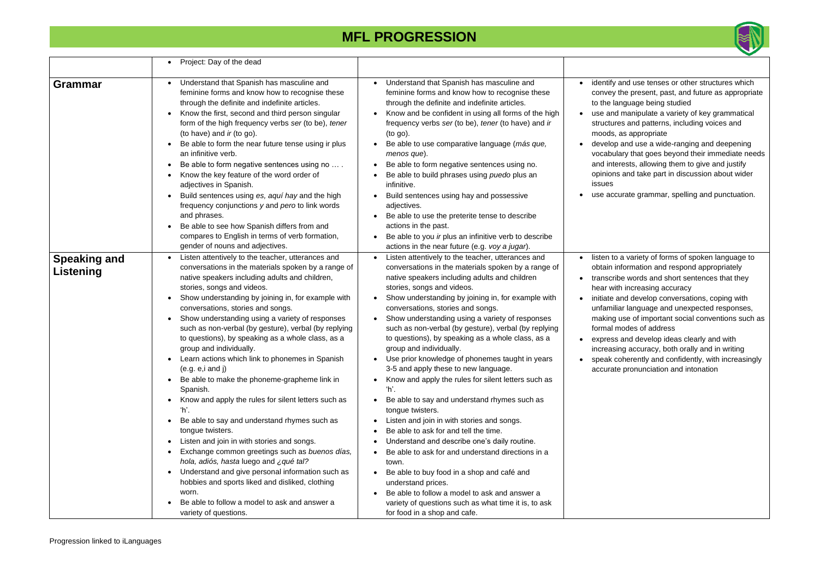

and use tenses or other structures which the present, past, and future as appropriate nguage being studied

I manipulate a variety of key grammatical es and patterns, including voices and as appropriate

and use a wide-ranging and deepening lary that goes beyond their immediate needs rests, allowing them to give and justify and take part in discussion about wider

urate grammar, spelling and punctuation.

a variety of forms of spoken language to nformation and respond appropriately be words and short sentences that they h increasing accuracy

and develop conversations, coping with ar language and unexpected responses, use of important social conventions such as nodes of address

and develop ideas clearly and with ng accuracy, both orally and in writing oherently and confidently, with increasingly

pronunciation and intonation

|                                  | Project: Day of the dead                                                                                                                                                                                                                                                                                                                                                                                                                                                                                                                                                                                                                                                                                                                                                                                                                                                                                                                                                                                                                                                                                                                                                                          |                                                                                                                                                                                                                                                                                                                                                                                                                                                                                                                                                                                                                                                                                                                                                                                                                                                                                                                                                                                                                                                                                                                                                                                                                                       |                                                                                                                                                     |
|----------------------------------|---------------------------------------------------------------------------------------------------------------------------------------------------------------------------------------------------------------------------------------------------------------------------------------------------------------------------------------------------------------------------------------------------------------------------------------------------------------------------------------------------------------------------------------------------------------------------------------------------------------------------------------------------------------------------------------------------------------------------------------------------------------------------------------------------------------------------------------------------------------------------------------------------------------------------------------------------------------------------------------------------------------------------------------------------------------------------------------------------------------------------------------------------------------------------------------------------|---------------------------------------------------------------------------------------------------------------------------------------------------------------------------------------------------------------------------------------------------------------------------------------------------------------------------------------------------------------------------------------------------------------------------------------------------------------------------------------------------------------------------------------------------------------------------------------------------------------------------------------------------------------------------------------------------------------------------------------------------------------------------------------------------------------------------------------------------------------------------------------------------------------------------------------------------------------------------------------------------------------------------------------------------------------------------------------------------------------------------------------------------------------------------------------------------------------------------------------|-----------------------------------------------------------------------------------------------------------------------------------------------------|
| <b>Grammar</b>                   | Understand that Spanish has masculine and<br>feminine forms and know how to recognise these<br>through the definite and indefinite articles.<br>Know the first, second and third person singular<br>form of the high frequency verbs ser (to be), tener<br>(to have) and ir (to go).<br>Be able to form the near future tense using ir plus<br>an infinitive verb.<br>Be able to form negative sentences using no<br>$\bullet$<br>Know the key feature of the word order of<br>$\bullet$<br>adjectives in Spanish.<br>Build sentences using es, aquí hay and the high<br>frequency conjunctions y and pero to link words<br>and phrases.<br>Be able to see how Spanish differs from and<br>compares to English in terms of verb formation,<br>gender of nouns and adjectives.                                                                                                                                                                                                                                                                                                                                                                                                                     | Understand that Spanish has masculine and<br>$\bullet$<br>feminine forms and know how to recognise these<br>through the definite and indefinite articles.<br>Know and be confident in using all forms of the high<br>$\bullet$<br>frequency verbs ser (to be), tener (to have) and ir<br>$($ to go $).$<br>Be able to use comparative language (más que,<br>menos que).<br>Be able to form negative sentences using no.<br>$\bullet$<br>Be able to build phrases using puedo plus an<br>infinitive.<br>Build sentences using hay and possessive<br>$\bullet$<br>adjectives.<br>Be able to use the preterite tense to describe<br>$\bullet$<br>actions in the past.<br>Be able to you ir plus an infinitive verb to describe<br>$\bullet$<br>actions in the near future (e.g. voy a jugar).                                                                                                                                                                                                                                                                                                                                                                                                                                            | identify a<br>convey t<br>to the lar<br>use and<br>structure<br>moods, a<br>develop<br>vocabula<br>and inter<br>opinions<br>issues<br>use accu      |
| <b>Speaking and</b><br>Listening | Listen attentively to the teacher, utterances and<br>$\bullet$<br>conversations in the materials spoken by a range of<br>native speakers including adults and children,<br>stories, songs and videos.<br>Show understanding by joining in, for example with<br>$\bullet$<br>conversations, stories and songs.<br>Show understanding using a variety of responses<br>such as non-verbal (by gesture), verbal (by replying<br>to questions), by speaking as a whole class, as a<br>group and individually.<br>Learn actions which link to phonemes in Spanish<br>(e.g. e, i and j)<br>Be able to make the phoneme-grapheme link in<br>$\bullet$<br>Spanish.<br>Know and apply the rules for silent letters such as<br>$\bullet$<br>ʻh'.<br>Be able to say and understand rhymes such as<br>$\bullet$<br>tongue twisters.<br>Listen and join in with stories and songs.<br>$\bullet$<br>Exchange common greetings such as buenos días,<br>$\bullet$<br>hola, adiós, hasta luego and ¿qué tal?<br>Understand and give personal information such as<br>$\bullet$<br>hobbies and sports liked and disliked, clothing<br>worn.<br>Be able to follow a model to ask and answer a<br>variety of questions. | Listen attentively to the teacher, utterances and<br>$\bullet$<br>conversations in the materials spoken by a range of<br>native speakers including adults and children<br>stories, songs and videos.<br>Show understanding by joining in, for example with<br>$\bullet$<br>conversations, stories and songs.<br>Show understanding using a variety of responses<br>$\bullet$<br>such as non-verbal (by gesture), verbal (by replying<br>to questions), by speaking as a whole class, as a<br>group and individually.<br>Use prior knowledge of phonemes taught in years<br>3-5 and apply these to new language.<br>Know and apply the rules for silent letters such as<br>ʻh'.<br>Be able to say and understand rhymes such as<br>$\bullet$<br>tongue twisters.<br>Listen and join in with stories and songs.<br>$\bullet$<br>Be able to ask for and tell the time.<br>Understand and describe one's daily routine.<br>$\bullet$<br>Be able to ask for and understand directions in a<br>town.<br>Be able to buy food in a shop and café and<br>$\bullet$<br>understand prices.<br>Be able to follow a model to ask and answer a<br>$\bullet$<br>variety of questions such as what time it is, to ask<br>for food in a shop and cafe. | listen to<br>obtain in<br>transcrib<br>hear with<br>initiate a<br>unfamilia<br>making u<br>formal m<br>express<br>increasir<br>speak co<br>accurate |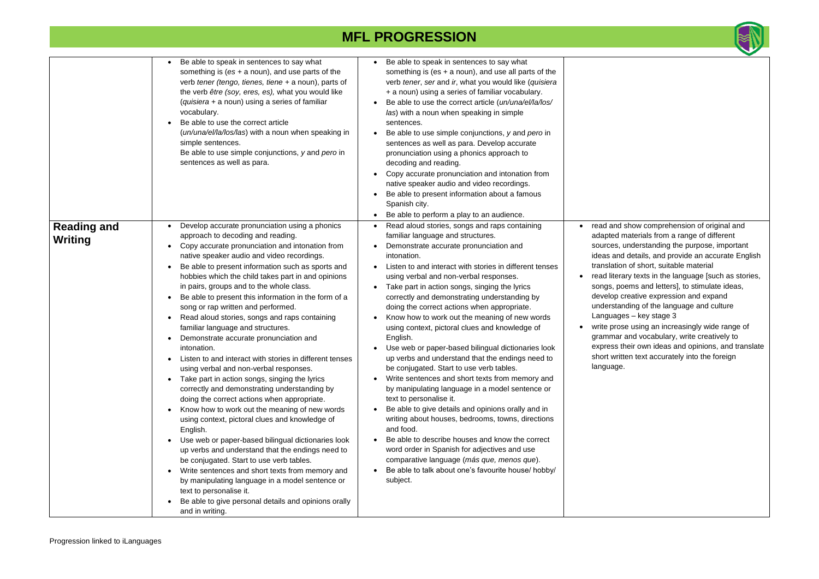

nd show comprehension of original and ed materials from a range of different es, understanding the purpose, important and details, and provide an accurate English tion of short, suitable material terary texts in the language [such as stories, poems and letters], to stimulate ideas, p creative expression and expand tanding of the language and culture  $ages - key stage 3$ rose using an increasingly wide range of nar and vocabulary, write creatively to ss their own ideas and opinions, and translate written text accurately into the foreign

|                               | Be able to speak in sentences to say what<br>$\bullet$<br>something is $(es + a noun)$ , and use parts of the<br>verb tener (tengo, tienes, tiene + a noun), parts of<br>the verb être (soy, eres, es), what you would like<br>(quisiera + a noun) using a series of familiar<br>vocabulary.<br>Be able to use the correct article<br>(un/una/el/la/los/las) with a noun when speaking in<br>simple sentences.<br>Be able to use simple conjunctions, y and pero in<br>sentences as well as para.                                                                                                                                                                                                                                                                                                                                                                                                                                                                                                                                                                                                                                                                                                                                                                                                                                                                                                                                                   | Be able to speak in sentences to say what<br>$\bullet$<br>something is (es $+$ a noun), and use all parts of the<br>verb tener, ser and ir, what you would like (quisiera<br>+ a noun) using a series of familiar vocabulary.<br>Be able to use the correct article (un/una/el/la/los/<br>las) with a noun when speaking in simple<br>sentences.<br>Be able to use simple conjunctions, y and pero in<br>$\bullet$<br>sentences as well as para. Develop accurate<br>pronunciation using a phonics approach to<br>decoding and reading.<br>Copy accurate pronunciation and intonation from<br>native speaker audio and video recordings.<br>Be able to present information about a famous<br>Spanish city.<br>Be able to perform a play to an audience.                                                                                                                                                                                                                                                                                                                                                                                            |                                                                                                                                                                                                            |
|-------------------------------|-----------------------------------------------------------------------------------------------------------------------------------------------------------------------------------------------------------------------------------------------------------------------------------------------------------------------------------------------------------------------------------------------------------------------------------------------------------------------------------------------------------------------------------------------------------------------------------------------------------------------------------------------------------------------------------------------------------------------------------------------------------------------------------------------------------------------------------------------------------------------------------------------------------------------------------------------------------------------------------------------------------------------------------------------------------------------------------------------------------------------------------------------------------------------------------------------------------------------------------------------------------------------------------------------------------------------------------------------------------------------------------------------------------------------------------------------------|----------------------------------------------------------------------------------------------------------------------------------------------------------------------------------------------------------------------------------------------------------------------------------------------------------------------------------------------------------------------------------------------------------------------------------------------------------------------------------------------------------------------------------------------------------------------------------------------------------------------------------------------------------------------------------------------------------------------------------------------------------------------------------------------------------------------------------------------------------------------------------------------------------------------------------------------------------------------------------------------------------------------------------------------------------------------------------------------------------------------------------------------------|------------------------------------------------------------------------------------------------------------------------------------------------------------------------------------------------------------|
| <b>Reading and</b><br>Writing | Develop accurate pronunciation using a phonics<br>approach to decoding and reading.<br>Copy accurate pronunciation and intonation from<br>$\bullet$<br>native speaker audio and video recordings.<br>Be able to present information such as sports and<br>hobbies which the child takes part in and opinions<br>in pairs, groups and to the whole class.<br>Be able to present this information in the form of a<br>$\bullet$<br>song or rap written and performed.<br>Read aloud stories, songs and raps containing<br>$\bullet$<br>familiar language and structures.<br>Demonstrate accurate pronunciation and<br>$\bullet$<br>intonation.<br>Listen to and interact with stories in different tenses<br>using verbal and non-verbal responses.<br>Take part in action songs, singing the lyrics<br>$\bullet$<br>correctly and demonstrating understanding by<br>doing the correct actions when appropriate.<br>Know how to work out the meaning of new words<br>$\bullet$<br>using context, pictoral clues and knowledge of<br>English.<br>Use web or paper-based bilingual dictionaries look<br>$\bullet$<br>up verbs and understand that the endings need to<br>be conjugated. Start to use verb tables.<br>Write sentences and short texts from memory and<br>$\bullet$<br>by manipulating language in a model sentence or<br>text to personalise it.<br>Be able to give personal details and opinions orally<br>$\bullet$<br>and in writing. | Read aloud stories, songs and raps containing<br>familiar language and structures.<br>Demonstrate accurate pronunciation and<br>intonation.<br>Listen to and interact with stories in different tenses<br>using verbal and non-verbal responses.<br>Take part in action songs, singing the lyrics<br>correctly and demonstrating understanding by<br>doing the correct actions when appropriate.<br>Know how to work out the meaning of new words<br>using context, pictoral clues and knowledge of<br>English.<br>Use web or paper-based bilingual dictionaries look<br>up verbs and understand that the endings need to<br>be conjugated. Start to use verb tables.<br>Write sentences and short texts from memory and<br>by manipulating language in a model sentence or<br>text to personalise it.<br>Be able to give details and opinions orally and in<br>writing about houses, bedrooms, towns, directions<br>and food.<br>Be able to describe houses and know the correct<br>word order in Spanish for adjectives and use<br>comparative language (más que, menos que).<br>Be able to talk about one's favourite house/ hobby/<br>subject. | read and s<br>adapted m<br>sources, u<br>ideas and<br>translation<br>read litera<br>songs, po<br>develop cı<br>understan<br>Language<br>write prose<br>grammar a<br>express th<br>short writt<br>language. |